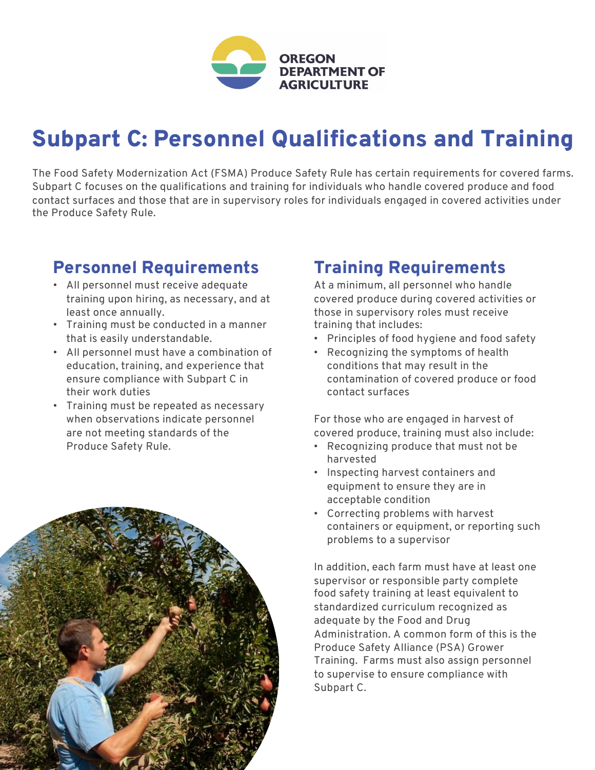

## Subpart C: Personnel Qualifications and Training

The Food Safety Modernization Act (FSMA) Produce Safety Rule has certain requirements for covered farms. Subpart C focuses on the qualifications and training for individuals who handle covered produce and food contact surfaces and those that are in supervisory roles for individuals engaged in covered activities under the Produce Safety Rule.

## Personnel Requirements

- All personnel must receive adequate training upon hiring, as necessary, and at least once annually.
- Training must be conducted in a manner that is easily understandable.
- All personnel must have a combination of education, training, and experience that ensure compliance with Subpart C in their work duties
- Training must be repeated as necessary when observations indicate personnel are not meeting standards of the Produce Safety Rule.



## Training Requirements

At a minimum, all personnel who handle covered produce during covered activities or those in supervisory roles must receive training that includes:

- Principles of food hygiene and food safety
- Recognizing the symptoms of health conditions that may result in the contamination of covered produce or food contact surfaces

For those who are engaged in harvest of covered produce, training must also include:

- Recognizing produce that must not be harvested
- Inspecting harvest containers and equipment to ensure they are in acceptable condition
- Correcting problems with harvest containers or equipment, or reporting such problems to a supervisor

In addition, each farm must have at least one supervisor or responsible party complete food safety training at least equivalent to standardized curriculum recognized as adequate by the Food and Drug Administration. A common form of this is the Produce Safety Alliance (PSA) Grower Training. Farms must also assign personnel to supervise to ensure compliance with Subpart C.